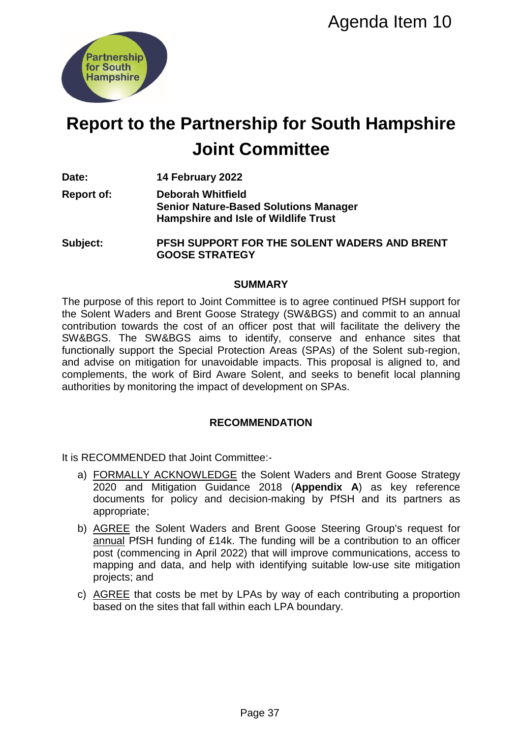

## **Report to the Partnership for South Hampshire Joint Committee**

**Date: 14 February 2022**

**Report of: Deborah Whitfield Senior Nature-Based Solutions Manager Hampshire and Isle of Wildlife Trust**

**Subject: PFSH SUPPORT FOR THE SOLENT WADERS AND BRENT GOOSE STRATEGY**

#### **SUMMARY**

The purpose of this report to Joint Committee is to agree continued PfSH support for the Solent Waders and Brent Goose Strategy (SW&BGS) and commit to an annual contribution towards the cost of an officer post that will facilitate the delivery the SW&BGS. The SW&BGS aims to identify, conserve and enhance sites that functionally support the Special Protection Areas (SPAs) of the Solent sub-region, and advise on mitigation for unavoidable impacts. This proposal is aligned to, and complements, the work of Bird Aware Solent, and seeks to benefit local planning authorities by monitoring the impact of development on SPAs. **Ship for South Hampshire**<br> **Ship for South Hampshire**<br> **Committee**<br> **Passed Solutions Manager**<br> **PAGE THE SOLENT WADERS AND BRENT**<br>
FOR THE SOLENT WADERS AND BRENT<br>
GY<br>
UMMARY<br>
GY<br>
UMMARY<br>
GY<br>
UMMARY<br>
GY<br>
UMMARY<br>
GY<br>
UMMA

## **RECOMMENDATION**

It is RECOMMENDED that Joint Committee:-

- a) FORMALLY ACKNOWLEDGE the Solent Waders and Brent Goose Strategy 2020 and Mitigation Guidance 2018 (**Appendix A**) as key reference documents for policy and decision-making by PfSH and its partners as appropriate;
- b) AGREE the Solent Waders and Brent Goose Steering Group's request for annual PfSH funding of £14k. The funding will be a contribution to an officer post (commencing in April 2022) that will improve communications, access to mapping and data, and help with identifying suitable low-use site mitigation projects; and
- c) AGREE that costs be met by LPAs by way of each contributing a proportion based on the sites that fall within each LPA boundary.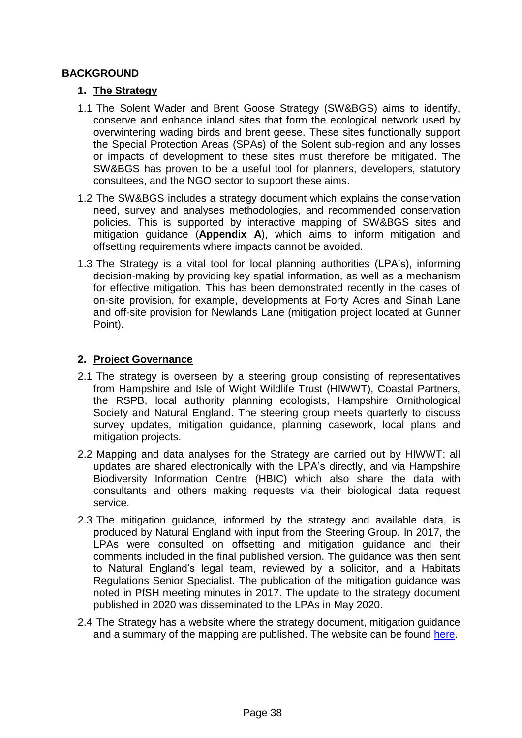## **BACKGROUND**

#### **1. The Strategy**

- 1.1 The Solent Wader and Brent Goose Strategy (SW&BGS) aims to identify, conserve and enhance inland sites that form the ecological network used by overwintering wading birds and brent geese. These sites functionally support the Special Protection Areas (SPAs) of the Solent sub-region and any losses or impacts of development to these sites must therefore be mitigated. The SW&BGS has proven to be a useful tool for planners, developers, statutory consultees, and the NGO sector to support these aims.
- 1.2 The SW&BGS includes a strategy document which explains the conservation need, survey and analyses methodologies, and recommended conservation policies. This is supported by interactive mapping of SW&BGS sites and mitigation guidance (**Appendix A**), which aims to inform mitigation and offsetting requirements where impacts cannot be avoided.
- 1.3 The Strategy is a vital tool for local planning authorities (LPA's), informing decision-making by providing key spatial information, as well as a mechanism for effective mitigation. This has been demonstrated recently in the cases of on-site provision, for example, developments at Forty Acres and Sinah Lane and off-site provision for Newlands Lane (mitigation project located at Gunner Point).

## **2. Project Governance**

- 2.1 The strategy is overseen by a steering group consisting of representatives from Hampshire and Isle of Wight Wildlife Trust (HIWWT), Coastal Partners, the RSPB, local authority planning ecologists, Hampshire Ornithological Society and Natural England. The steering group meets quarterly to discuss survey updates, mitigation guidance, planning casework, local plans and mitigation projects.
- 2.2 Mapping and data analyses for the Strategy are carried out by HIWWT; all updates are shared electronically with the LPA's directly, and via Hampshire Biodiversity Information Centre (HBIC) which also share the data with consultants and others making requests via their biological data request service.
- 2.3 The mitigation guidance, informed by the strategy and available data, is produced by Natural England with input from the Steering Group. In 2017, the LPAs were consulted on offsetting and mitigation guidance and their comments included in the final published version. The guidance was then sent to Natural England's legal team, reviewed by a solicitor, and a Habitats Regulations Senior Specialist. The publication of the mitigation guidance was noted in PfSH meeting minutes in 2017. The update to the strategy document published in 2020 was disseminated to the LPAs in May 2020.
- 2.4 The Strategy has a website where the strategy document, mitigation guidance and a summary of the mapping are published. The website can be found [here.](https://solentwbgs.wordpress.com/)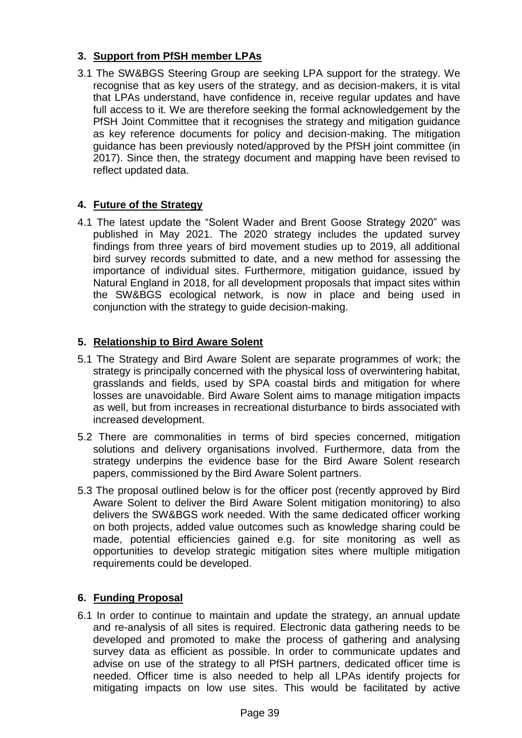## **3. Support from PfSH member LPAs**

3.1 The SW&BGS Steering Group are seeking LPA support for the strategy. We recognise that as key users of the strategy, and as decision-makers, it is vital that LPAs understand, have confidence in, receive regular updates and have full access to it. We are therefore seeking the formal acknowledgement by the PfSH Joint Committee that it recognises the strategy and mitigation guidance as key reference documents for policy and decision-making. The mitigation guidance has been previously noted/approved by the PfSH joint committee (in 2017). Since then, the strategy document and mapping have been revised to reflect updated data.

## **4. Future of the Strategy**

4.1 The latest update the "Solent Wader and Brent Goose Strategy 2020" was published in May 2021. The 2020 strategy includes the updated survey findings from three years of bird movement studies up to 2019, all additional bird survey records submitted to date, and a new method for assessing the importance of individual sites. Furthermore, mitigation guidance, issued by Natural England in 2018, for all development proposals that impact sites within the SW&BGS ecological network, is now in place and being used in conjunction with the strategy to guide decision-making.

## **5. Relationship to Bird Aware Solent**

- 5.1 The Strategy and Bird Aware Solent are separate programmes of work; the strategy is principally concerned with the physical loss of overwintering habitat, grasslands and fields, used by SPA coastal birds and mitigation for where losses are unavoidable. Bird Aware Solent aims to manage mitigation impacts as well, but from increases in recreational disturbance to birds associated with increased development.
- 5.2 There are commonalities in terms of bird species concerned, mitigation solutions and delivery organisations involved. Furthermore, data from the strategy underpins the evidence base for the Bird Aware Solent research papers, commissioned by the Bird Aware Solent partners.
- 5.3 The proposal outlined below is for the officer post (recently approved by Bird Aware Solent to deliver the Bird Aware Solent mitigation monitoring) to also delivers the SW&BGS work needed. With the same dedicated officer working on both projects, added value outcomes such as knowledge sharing could be made, potential efficiencies gained e.g. for site monitoring as well as opportunities to develop strategic mitigation sites where multiple mitigation requirements could be developed.

## **6. Funding Proposal**

6.1 In order to continue to maintain and update the strategy, an annual update and re-analysis of all sites is required. Electronic data gathering needs to be developed and promoted to make the process of gathering and analysing survey data as efficient as possible. In order to communicate updates and advise on use of the strategy to all PfSH partners, dedicated officer time is needed. Officer time is also needed to help all LPAs identify projects for mitigating impacts on low use sites. This would be facilitated by active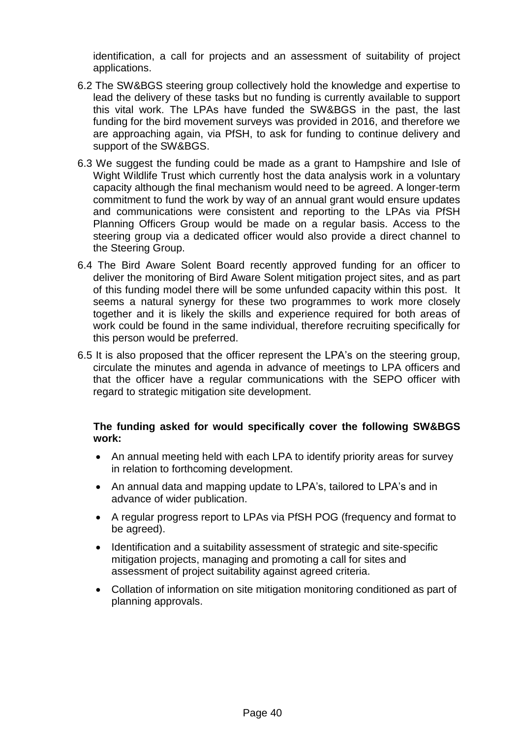identification, a call for projects and an assessment of suitability of project applications.

- 6.2 The SW&BGS steering group collectively hold the knowledge and expertise to lead the delivery of these tasks but no funding is currently available to support this vital work. The LPAs have funded the SW&BGS in the past, the last funding for the bird movement surveys was provided in 2016, and therefore we are approaching again, via PfSH, to ask for funding to continue delivery and support of the SW&BGS.
- 6.3 We suggest the funding could be made as a grant to Hampshire and Isle of Wight Wildlife Trust which currently host the data analysis work in a voluntary capacity although the final mechanism would need to be agreed. A longer-term commitment to fund the work by way of an annual grant would ensure updates and communications were consistent and reporting to the LPAs via PfSH Planning Officers Group would be made on a regular basis. Access to the steering group via a dedicated officer would also provide a direct channel to the Steering Group.
- 6.4 The Bird Aware Solent Board recently approved funding for an officer to deliver the monitoring of Bird Aware Solent mitigation project sites, and as part of this funding model there will be some unfunded capacity within this post. It seems a natural synergy for these two programmes to work more closely together and it is likely the skills and experience required for both areas of work could be found in the same individual, therefore recruiting specifically for this person would be preferred.
- 6.5 It is also proposed that the officer represent the LPA's on the steering group, circulate the minutes and agenda in advance of meetings to LPA officers and that the officer have a regular communications with the SEPO officer with regard to strategic mitigation site development.

## **The funding asked for would specifically cover the following SW&BGS work:**

- An annual meeting held with each LPA to identify priority areas for survey in relation to forthcoming development.
- An annual data and mapping update to LPA's, tailored to LPA's and in advance of wider publication.
- A regular progress report to LPAs via PfSH POG (frequency and format to be agreed).
- Identification and a suitability assessment of strategic and site-specific mitigation projects, managing and promoting a call for sites and assessment of project suitability against agreed criteria.
- Collation of information on site mitigation monitoring conditioned as part of planning approvals.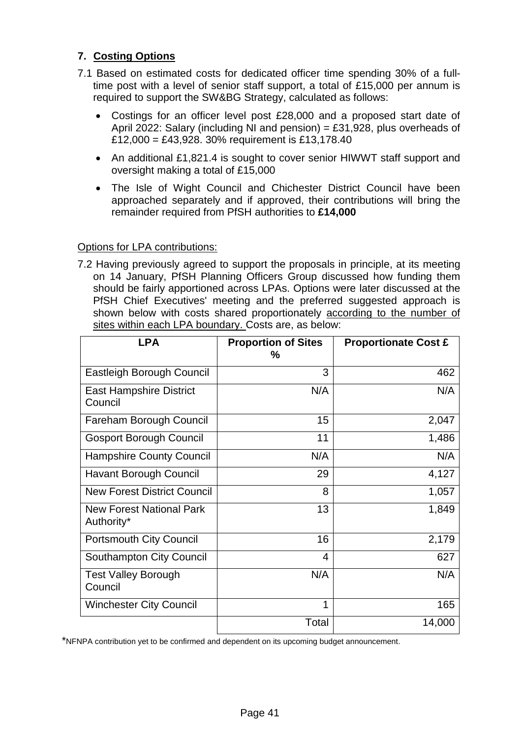## **7. Costing Options**

- 7.1 Based on estimated costs for dedicated officer time spending 30% of a fulltime post with a level of senior staff support, a total of £15,000 per annum is required to support the SW&BG Strategy, calculated as follows:
	- Costings for an officer level post £28,000 and a proposed start date of April 2022: Salary (including NI and pension) = £31,928, plus overheads of  $£12,000 = £43,928,30%$  requirement is £13,178.40
	- An additional £1,821.4 is sought to cover senior HIWWT staff support and oversight making a total of £15,000
	- The Isle of Wight Council and Chichester District Council have been approached separately and if approved, their contributions will bring the remainder required from PfSH authorities to **£14,000**

## Options for LPA contributions:

7.2 Having previously agreed to support the proposals in principle, at its meeting on 14 January, PfSH Planning Officers Group discussed how funding them should be fairly apportioned across LPAs. Options were later discussed at the PfSH Chief Executives' meeting and the preferred suggested approach is shown below with costs shared proportionately according to the number of sites within each LPA boundary. Costs are, as below:

| <b>LPA</b>                                    | <b>Proportion of Sites</b><br>$\%$ | <b>Proportionate Cost £</b> |
|-----------------------------------------------|------------------------------------|-----------------------------|
| Eastleigh Borough Council                     | 3                                  | 462                         |
| <b>East Hampshire District</b><br>Council     | N/A                                | N/A                         |
| Fareham Borough Council                       | 15                                 | 2,047                       |
| <b>Gosport Borough Council</b>                | 11                                 | 1,486                       |
| <b>Hampshire County Council</b>               | N/A                                | N/A                         |
| <b>Havant Borough Council</b>                 | 29                                 | 4,127                       |
| <b>New Forest District Council</b>            | 8                                  | 1,057                       |
| <b>New Forest National Park</b><br>Authority* | 13                                 | 1,849                       |
| <b>Portsmouth City Council</b>                | 16                                 | 2,179                       |
| <b>Southampton City Council</b>               | 4                                  | 627                         |
| <b>Test Valley Borough</b><br>Council         | N/A                                | N/A                         |
| <b>Winchester City Council</b>                | 1                                  | 165                         |
|                                               | Total                              | 14,000                      |

\*NFNPA contribution yet to be confirmed and dependent on its upcoming budget announcement.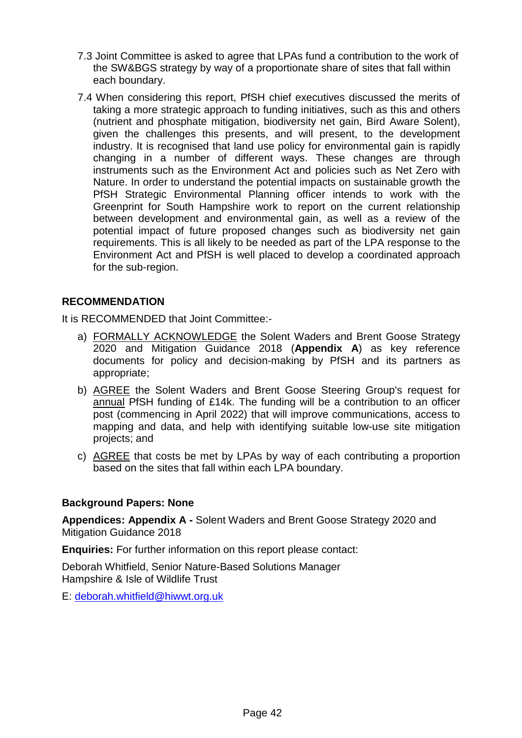- 7.3 Joint Committee is asked to agree that LPAs fund a contribution to the work of the SW&BGS strategy by way of a proportionate share of sites that fall within each boundary.
- 7.4 When considering this report, PfSH chief executives discussed the merits of taking a more strategic approach to funding initiatives, such as this and others (nutrient and phosphate mitigation, biodiversity net gain, Bird Aware Solent), given the challenges this presents, and will present, to the development industry. It is recognised that land use policy for environmental gain is rapidly changing in a number of different ways. These changes are through instruments such as the Environment Act and policies such as Net Zero with Nature. In order to understand the potential impacts on sustainable growth the PfSH Strategic Environmental Planning officer intends to work with the Greenprint for South Hampshire work to report on the current relationship between development and environmental gain, as well as a review of the potential impact of future proposed changes such as biodiversity net gain requirements. This is all likely to be needed as part of the LPA response to the Environment Act and PfSH is well placed to develop a coordinated approach for the sub-region.

#### **RECOMMENDATION**

It is RECOMMENDED that Joint Committee:-

- a) FORMALLY ACKNOWLEDGE the Solent Waders and Brent Goose Strategy 2020 and Mitigation Guidance 2018 (**Appendix A**) as key reference documents for policy and decision-making by PfSH and its partners as appropriate;
- b) AGREE the Solent Waders and Brent Goose Steering Group's request for annual PfSH funding of £14k. The funding will be a contribution to an officer post (commencing in April 2022) that will improve communications, access to mapping and data, and help with identifying suitable low-use site mitigation projects; and
- c) AGREE that costs be met by LPAs by way of each contributing a proportion based on the sites that fall within each LPA boundary.

#### **Background Papers: None**

**Appendices: Appendix A -** Solent Waders and Brent Goose Strategy 2020 and Mitigation Guidance 2018

**Enquiries:** For further information on this report please contact:

Deborah Whitfield, Senior Nature-Based Solutions Manager Hampshire & Isle of Wildlife Trust

E: [deborah.whitfield@hiwwt.org.uk](mailto:deborah.whitfield@hiwwt.org.uk)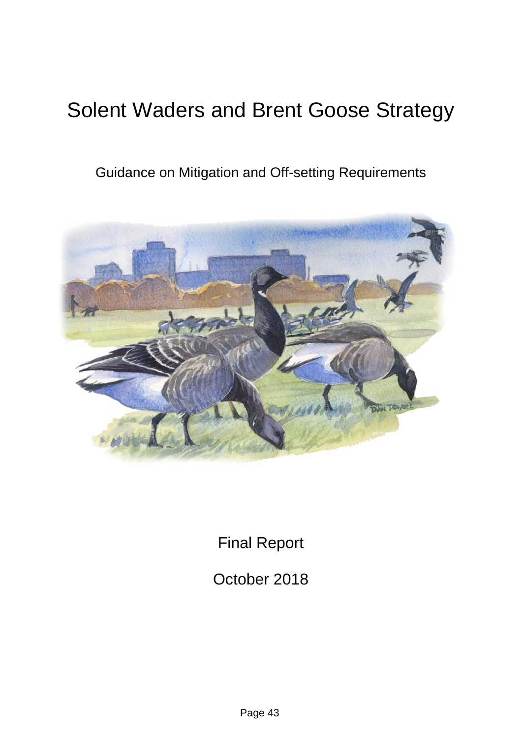# Solent Waders and Brent Goose Strategy

Guidance on Mitigation and Off-setting Requirements



Final Report

October 2018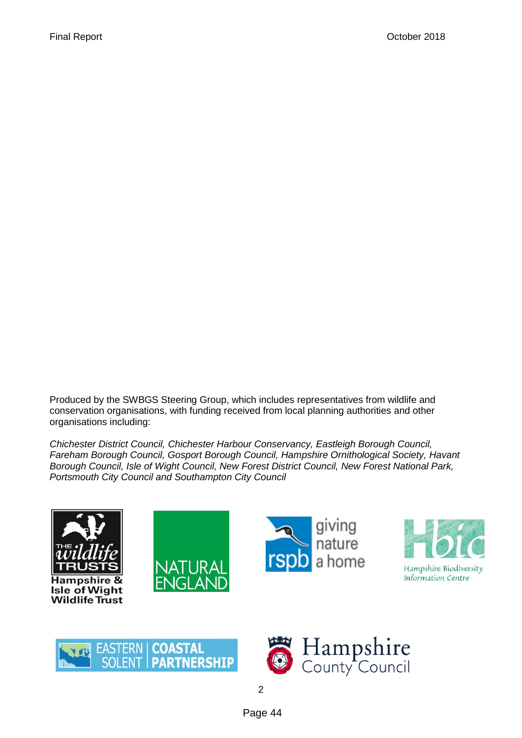Produced by the SWBGS Steering Group, which includes representatives from wildlife and conservation organisations, with funding received from local planning authorities and other organisations including:

*Chichester District Council, Chichester Harbour Conservancy, Eastleigh Borough Council, Fareham Borough Council, Gosport Borough Council, Hampshire Ornithological Society, Havant Borough Council, Isle of Wight Council, New Forest District Council, New Forest National Park, Portsmouth City Council and Southampton City Council*













Page 44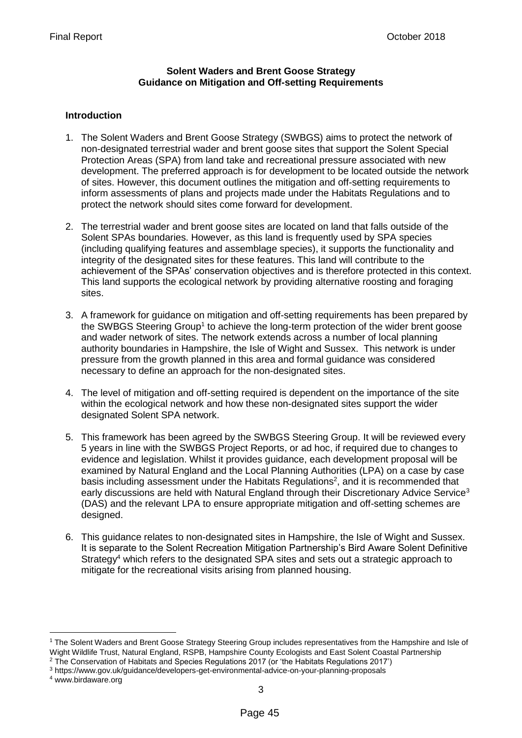#### **Solent Waders and Brent Goose Strategy Guidance on Mitigation and Off-setting Requirements**

#### **Introduction**

- 1. The Solent Waders and Brent Goose Strategy (SWBGS) aims to protect the network of non-designated terrestrial wader and brent goose sites that support the Solent Special Protection Areas (SPA) from land take and recreational pressure associated with new development. The preferred approach is for development to be located outside the network of sites. However, this document outlines the mitigation and off-setting requirements to inform assessments of plans and projects made under the Habitats Regulations and to protect the network should sites come forward for development.
- 2. The terrestrial wader and brent goose sites are located on land that falls outside of the Solent SPAs boundaries. However, as this land is frequently used by SPA species (including qualifying features and assemblage species), it supports the functionality and integrity of the designated sites for these features. This land will contribute to the achievement of the SPAs' conservation objectives and is therefore protected in this context. This land supports the ecological network by providing alternative roosting and foraging sites.
- 3. A framework for guidance on mitigation and off-setting requirements has been prepared by the SWBGS Steering Group<sup>1</sup> to achieve the long-term protection of the wider brent goose and wader network of sites. The network extends across a number of local planning authority boundaries in Hampshire, the Isle of Wight and Sussex. This network is under pressure from the growth planned in this area and formal guidance was considered necessary to define an approach for the non-designated sites.
- 4. The level of mitigation and off-setting required is dependent on the importance of the site within the ecological network and how these non-designated sites support the wider designated Solent SPA network.
- 5. This framework has been agreed by the SWBGS Steering Group. It will be reviewed every 5 years in line with the SWBGS Project Reports, or ad hoc, if required due to changes to evidence and legislation. Whilst it provides guidance, each development proposal will be examined by Natural England and the Local Planning Authorities (LPA) on a case by case basis including assessment under the Habitats Regulations<sup>2</sup>, and it is recommended that early discussions are held with Natural England through their Discretionary Advice Service<sup>3</sup> (DAS) and the relevant LPA to ensure appropriate mitigation and off-setting schemes are designed.
- 6. This guidance relates to non-designated sites in Hampshire, the Isle of Wight and Sussex. It is separate to the Solent Recreation Mitigation Partnership's Bird Aware Solent Definitive Strategy<sup>4</sup> which refers to the designated SPA sites and sets out a strategic approach to mitigate for the recreational visits arising from planned housing.

 $\overline{a}$ 

<sup>&</sup>lt;sup>1</sup> The Solent Waders and Brent Goose Strategy Steering Group includes representatives from the Hampshire and Isle of Wight Wildlife Trust, Natural England, RSPB, Hampshire County Ecologists and East Solent Coastal Partnership

<sup>2</sup> The Conservation of Habitats and Species Regulations 2017 (or 'the Habitats Regulations 2017') <sup>3</sup> https://www.gov.uk/guidance/developers-get-environmental-advice-on-your-planning-proposals

<sup>4</sup> www.birdaware.org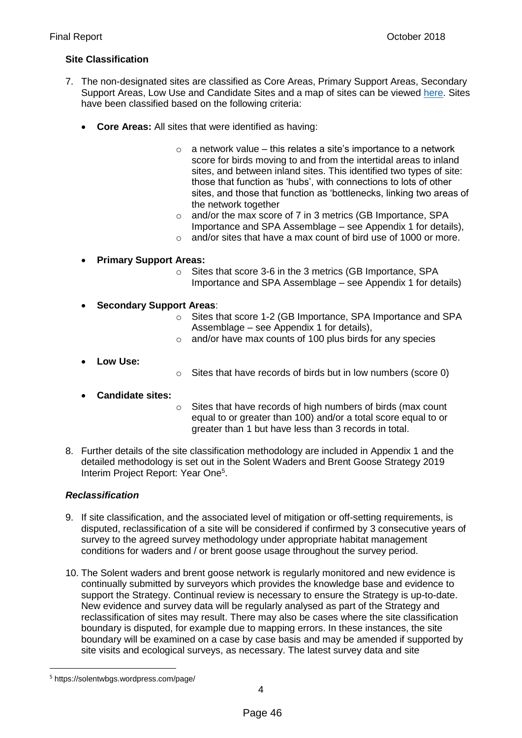#### **Site Classification**

- 7. The non-designated sites are classified as Core Areas, Primary Support Areas, Secondary Support Areas, Low Use and Candidate Sites and a map of sites can be viewed [here.](https://solentwbgs.wordpress.com/page-2/) Sites have been classified based on the following criteria:
	- **Core Areas:** All sites that were identified as having:
		- $\circ$  a network value this relates a site's importance to a network score for birds moving to and from the intertidal areas to inland sites, and between inland sites. This identified two types of site: those that function as 'hubs', with connections to lots of other sites, and those that function as 'bottlenecks, linking two areas of the network together
		- o and/or the max score of 7 in 3 metrics (GB Importance, SPA Importance and SPA Assemblage – see Appendix 1 for details),
		- o and/or sites that have a max count of bird use of 1000 or more.
	- **Primary Support Areas:**
		- o Sites that score 3-6 in the 3 metrics (GB Importance, SPA Importance and SPA Assemblage – see Appendix 1 for details)
	- **Secondary Support Areas**:
		- o Sites that score 1-2 (GB Importance, SPA Importance and SPA Assemblage – see Appendix 1 for details),
		- o and/or have max counts of 100 plus birds for any species
	- **Low Use:**
- o Sites that have records of birds but in low numbers (score 0)
- **Candidate sites:**
- o Sites that have records of high numbers of birds (max count equal to or greater than 100) and/or a total score equal to or greater than 1 but have less than 3 records in total.
- 8. Further details of the site classification methodology are included in Appendix 1 and the detailed methodology is set out in the Solent Waders and Brent Goose Strategy 2019 Interim Project Report: Year One<sup>5</sup>.

#### *Reclassification*

- 9. If site classification, and the associated level of mitigation or off-setting requirements, is disputed, reclassification of a site will be considered if confirmed by 3 consecutive years of survey to the agreed survey methodology under appropriate habitat management conditions for waders and / or brent goose usage throughout the survey period.
- 10. The Solent waders and brent goose network is regularly monitored and new evidence is continually submitted by surveyors which provides the knowledge base and evidence to support the Strategy. Continual review is necessary to ensure the Strategy is up-to-date. New evidence and survey data will be regularly analysed as part of the Strategy and reclassification of sites may result. There may also be cases where the site classification boundary is disputed, for example due to mapping errors. In these instances, the site boundary will be examined on a case by case basis and may be amended if supported by site visits and ecological surveys, as necessary. The latest survey data and site

 $\overline{a}$ 

<sup>5</sup> https://solentwbgs.wordpress.com/page/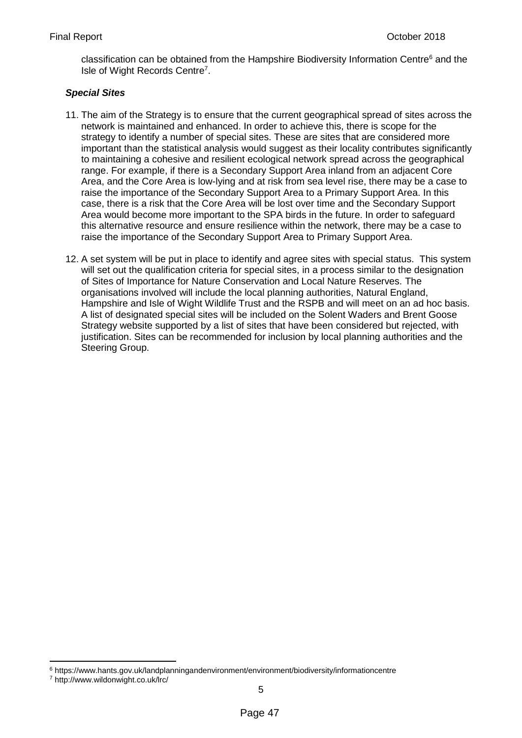classification can be obtained from the Hampshire Biodiversity Information Centre<sup>6</sup> and the Isle of Wight Records Centre<sup>7</sup>.

#### *Special Sites*

- 11. The aim of the Strategy is to ensure that the current geographical spread of sites across the network is maintained and enhanced. In order to achieve this, there is scope for the strategy to identify a number of special sites. These are sites that are considered more important than the statistical analysis would suggest as their locality contributes significantly to maintaining a cohesive and resilient ecological network spread across the geographical range. For example, if there is a Secondary Support Area inland from an adjacent Core Area, and the Core Area is low-lying and at risk from sea level rise, there may be a case to raise the importance of the Secondary Support Area to a Primary Support Area. In this case, there is a risk that the Core Area will be lost over time and the Secondary Support Area would become more important to the SPA birds in the future. In order to safeguard this alternative resource and ensure resilience within the network, there may be a case to raise the importance of the Secondary Support Area to Primary Support Area.
- 12. A set system will be put in place to identify and agree sites with special status. This system will set out the qualification criteria for special sites, in a process similar to the designation of Sites of Importance for Nature Conservation and Local Nature Reserves. The organisations involved will include the local planning authorities, Natural England, Hampshire and Isle of Wight Wildlife Trust and the RSPB and will meet on an ad hoc basis. A list of designated special sites will be included on the Solent Waders and Brent Goose Strategy website supported by a list of sites that have been considered but rejected, with justification. Sites can be recommended for inclusion by local planning authorities and the Steering Group.

1

<sup>6</sup> https://www.hants.gov.uk/landplanningandenvironment/environment/biodiversity/informationcentre

<sup>7</sup> http://www.wildonwight.co.uk/lrc/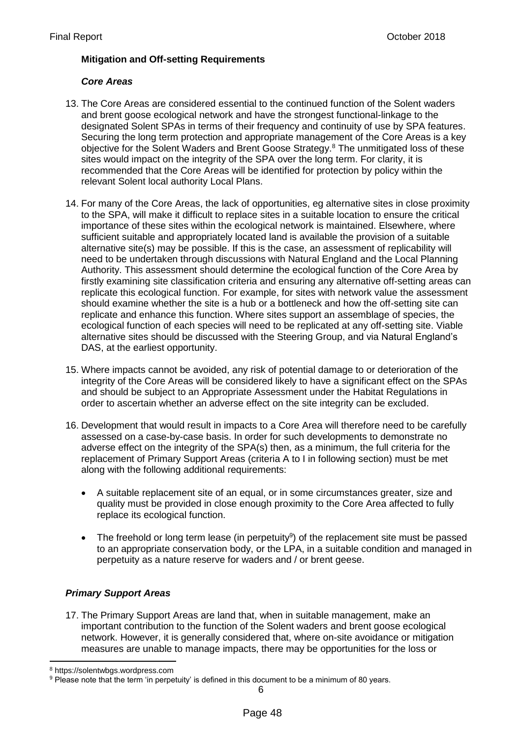#### **Mitigation and Off-setting Requirements**

#### *Core Areas*

- 13. The Core Areas are considered essential to the continued function of the Solent waders and brent goose ecological network and have the strongest functional-linkage to the designated Solent SPAs in terms of their frequency and continuity of use by SPA features. Securing the long term protection and appropriate management of the Core Areas is a key objective for the Solent Waders and Brent Goose Strategy.<sup>8</sup> The unmitigated loss of these sites would impact on the integrity of the SPA over the long term. For clarity, it is recommended that the Core Areas will be identified for protection by policy within the relevant Solent local authority Local Plans.
- 14. For many of the Core Areas, the lack of opportunities, eg alternative sites in close proximity to the SPA, will make it difficult to replace sites in a suitable location to ensure the critical importance of these sites within the ecological network is maintained. Elsewhere, where sufficient suitable and appropriately located land is available the provision of a suitable alternative site(s) may be possible. If this is the case, an assessment of replicability will need to be undertaken through discussions with Natural England and the Local Planning Authority. This assessment should determine the ecological function of the Core Area by firstly examining site classification criteria and ensuring any alternative off-setting areas can replicate this ecological function. For example, for sites with network value the assessment should examine whether the site is a hub or a bottleneck and how the off-setting site can replicate and enhance this function. Where sites support an assemblage of species, the ecological function of each species will need to be replicated at any off-setting site. Viable alternative sites should be discussed with the Steering Group, and via Natural England's DAS, at the earliest opportunity.
- 15. Where impacts cannot be avoided, any risk of potential damage to or deterioration of the integrity of the Core Areas will be considered likely to have a significant effect on the SPAs and should be subject to an Appropriate Assessment under the Habitat Regulations in order to ascertain whether an adverse effect on the site integrity can be excluded.
- 16. Development that would result in impacts to a Core Area will therefore need to be carefully assessed on a case-by-case basis. In order for such developments to demonstrate no adverse effect on the integrity of the SPA(s) then, as a minimum, the full criteria for the replacement of Primary Support Areas (criteria A to I in following section) must be met along with the following additional requirements:
	- A suitable replacement site of an equal, or in some circumstances greater, size and quality must be provided in close enough proximity to the Core Area affected to fully replace its ecological function.
	- $\bullet$  The freehold or long term lease (in perpetuity<sup>9</sup>) of the replacement site must be passed to an appropriate conservation body, or the LPA, in a suitable condition and managed in perpetuity as a nature reserve for waders and / or brent geese.

#### *Primary Support Areas*

17. The Primary Support Areas are land that, when in suitable management, make an important contribution to the function of the Solent waders and brent goose ecological network. However, it is generally considered that, where on-site avoidance or mitigation measures are unable to manage impacts, there may be opportunities for the loss or

<sup>1</sup> <sup>8</sup> https://solentwbgs.wordpress.com

<sup>9</sup> Please note that the term 'in perpetuity' is defined in this document to be a minimum of 80 years.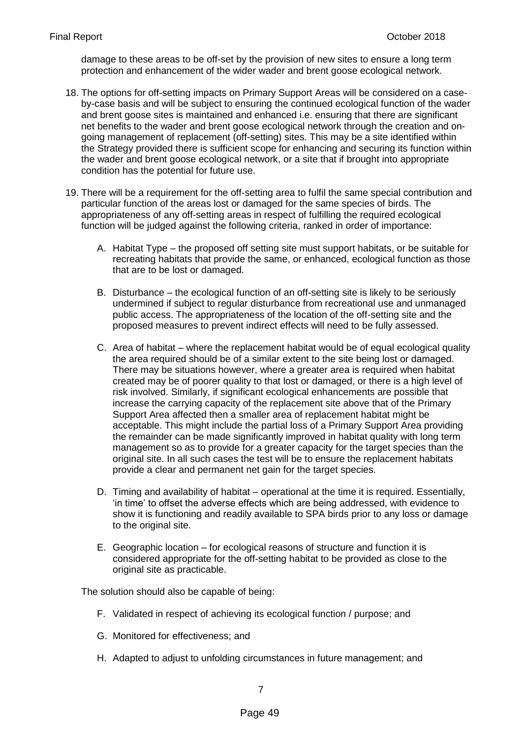damage to these areas to be off-set by the provision of new sites to ensure a long term protection and enhancement of the wider wader and brent goose ecological network.

- 18. The options for off-setting impacts on Primary Support Areas will be considered on a caseby-case basis and will be subject to ensuring the continued ecological function of the wader and brent goose sites is maintained and enhanced i.e. ensuring that there are significant net benefits to the wader and brent goose ecological network through the creation and ongoing management of replacement (off-setting) sites. This may be a site identified within the Strategy provided there is sufficient scope for enhancing and securing its function within the wader and brent goose ecological network, or a site that if brought into appropriate condition has the potential for future use.
- 19. There will be a requirement for the off-setting area to fulfil the same special contribution and particular function of the areas lost or damaged for the same species of birds. The appropriateness of any off-setting areas in respect of fulfilling the required ecological function will be judged against the following criteria, ranked in order of importance:
	- A. Habitat Type the proposed off setting site must support habitats, or be suitable for recreating habitats that provide the same, or enhanced, ecological function as those that are to be lost or damaged.
	- B. Disturbance the ecological function of an off-setting site is likely to be seriously undermined if subject to regular disturbance from recreational use and unmanaged public access. The appropriateness of the location of the off-setting site and the proposed measures to prevent indirect effects will need to be fully assessed.
	- C. Area of habitat where the replacement habitat would be of equal ecological quality the area required should be of a similar extent to the site being lost or damaged. There may be situations however, where a greater area is required when habitat created may be of poorer quality to that lost or damaged, or there is a high level of risk involved. Similarly, if significant ecological enhancements are possible that increase the carrying capacity of the replacement site above that of the Primary Support Area affected then a smaller area of replacement habitat might be acceptable. This might include the partial loss of a Primary Support Area providing the remainder can be made significantly improved in habitat quality with long term management so as to provide for a greater capacity for the target species than the original site. In all such cases the test will be to ensure the replacement habitats provide a clear and permanent net gain for the target species.
	- D. Timing and availability of habitat operational at the time it is required. Essentially, 'in time' to offset the adverse effects which are being addressed, with evidence to show it is functioning and readily available to SPA birds prior to any loss or damage to the original site.
	- E. Geographic location for ecological reasons of structure and function it is considered appropriate for the off-setting habitat to be provided as close to the original site as practicable.

The solution should also be capable of being:

- F. Validated in respect of achieving its ecological function / purpose; and
- G. Monitored for effectiveness; and
- H. Adapted to adjust to unfolding circumstances in future management; and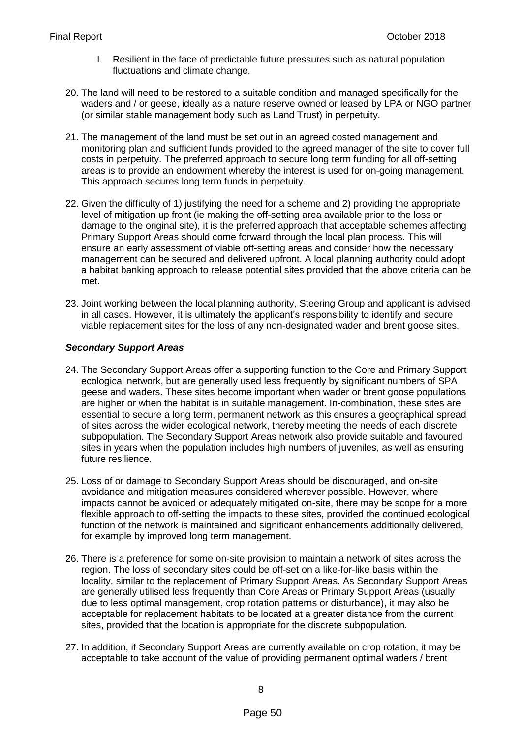- I. Resilient in the face of predictable future pressures such as natural population fluctuations and climate change.
- 20. The land will need to be restored to a suitable condition and managed specifically for the waders and / or geese, ideally as a nature reserve owned or leased by LPA or NGO partner (or similar stable management body such as Land Trust) in perpetuity.
- 21. The management of the land must be set out in an agreed costed management and monitoring plan and sufficient funds provided to the agreed manager of the site to cover full costs in perpetuity. The preferred approach to secure long term funding for all off-setting areas is to provide an endowment whereby the interest is used for on-going management. This approach secures long term funds in perpetuity.
- 22. Given the difficulty of 1) justifying the need for a scheme and 2) providing the appropriate level of mitigation up front (ie making the off-setting area available prior to the loss or damage to the original site), it is the preferred approach that acceptable schemes affecting Primary Support Areas should come forward through the local plan process. This will ensure an early assessment of viable off-setting areas and consider how the necessary management can be secured and delivered upfront. A local planning authority could adopt a habitat banking approach to release potential sites provided that the above criteria can be met.
- 23. Joint working between the local planning authority, Steering Group and applicant is advised in all cases. However, it is ultimately the applicant's responsibility to identify and secure viable replacement sites for the loss of any non-designated wader and brent goose sites.

#### *Secondary Support Areas*

- 24. The Secondary Support Areas offer a supporting function to the Core and Primary Support ecological network, but are generally used less frequently by significant numbers of SPA geese and waders. These sites become important when wader or brent goose populations are higher or when the habitat is in suitable management. In-combination, these sites are essential to secure a long term, permanent network as this ensures a geographical spread of sites across the wider ecological network, thereby meeting the needs of each discrete subpopulation. The Secondary Support Areas network also provide suitable and favoured sites in years when the population includes high numbers of juveniles, as well as ensuring future resilience.
- 25. Loss of or damage to Secondary Support Areas should be discouraged, and on-site avoidance and mitigation measures considered wherever possible. However, where impacts cannot be avoided or adequately mitigated on-site, there may be scope for a more flexible approach to off-setting the impacts to these sites, provided the continued ecological function of the network is maintained and significant enhancements additionally delivered, for example by improved long term management.
- 26. There is a preference for some on-site provision to maintain a network of sites across the region. The loss of secondary sites could be off-set on a like-for-like basis within the locality, similar to the replacement of Primary Support Areas. As Secondary Support Areas are generally utilised less frequently than Core Areas or Primary Support Areas (usually due to less optimal management, crop rotation patterns or disturbance), it may also be acceptable for replacement habitats to be located at a greater distance from the current sites, provided that the location is appropriate for the discrete subpopulation.
- 27. In addition, if Secondary Support Areas are currently available on crop rotation, it may be acceptable to take account of the value of providing permanent optimal waders / brent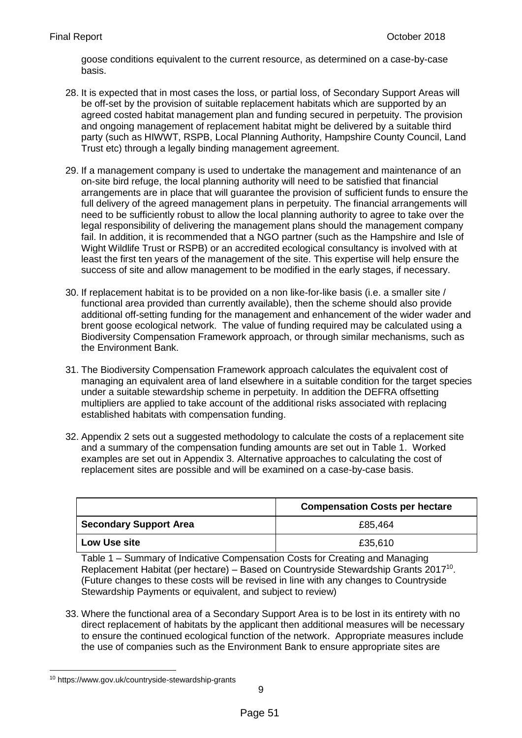goose conditions equivalent to the current resource, as determined on a case-by-case basis.

- 28. It is expected that in most cases the loss, or partial loss, of Secondary Support Areas will be off-set by the provision of suitable replacement habitats which are supported by an agreed costed habitat management plan and funding secured in perpetuity. The provision and ongoing management of replacement habitat might be delivered by a suitable third party (such as HIWWT, RSPB, Local Planning Authority, Hampshire County Council, Land Trust etc) through a legally binding management agreement.
- 29. If a management company is used to undertake the management and maintenance of an on-site bird refuge, the local planning authority will need to be satisfied that financial arrangements are in place that will guarantee the provision of sufficient funds to ensure the full delivery of the agreed management plans in perpetuity. The financial arrangements will need to be sufficiently robust to allow the local planning authority to agree to take over the legal responsibility of delivering the management plans should the management company fail. In addition, it is recommended that a NGO partner (such as the Hampshire and Isle of Wight Wildlife Trust or RSPB) or an accredited ecological consultancy is involved with at least the first ten years of the management of the site. This expertise will help ensure the success of site and allow management to be modified in the early stages, if necessary.
- 30. If replacement habitat is to be provided on a non like-for-like basis (i.e. a smaller site / functional area provided than currently available), then the scheme should also provide additional off-setting funding for the management and enhancement of the wider wader and brent goose ecological network. The value of funding required may be calculated using a Biodiversity Compensation Framework approach, or through similar mechanisms, such as the Environment Bank.
- 31. The Biodiversity Compensation Framework approach calculates the equivalent cost of managing an equivalent area of land elsewhere in a suitable condition for the target species under a suitable stewardship scheme in perpetuity. In addition the DEFRA offsetting multipliers are applied to take account of the additional risks associated with replacing established habitats with compensation funding.
- 32. Appendix 2 sets out a suggested methodology to calculate the costs of a replacement site and a summary of the compensation funding amounts are set out in Table 1. Worked examples are set out in Appendix 3. Alternative approaches to calculating the cost of replacement sites are possible and will be examined on a case-by-case basis.

|                               | <b>Compensation Costs per hectare</b> |
|-------------------------------|---------------------------------------|
| <b>Secondary Support Area</b> | £85,464                               |
| <b>Low Use site</b>           | £35,610                               |

Table 1 – Summary of Indicative Compensation Costs for Creating and Managing Replacement Habitat (per hectare) – Based on Countryside Stewardship Grants 2017<sup>10</sup>. (Future changes to these costs will be revised in line with any changes to Countryside Stewardship Payments or equivalent, and subject to review)

33. Where the functional area of a Secondary Support Area is to be lost in its entirety with no direct replacement of habitats by the applicant then additional measures will be necessary to ensure the continued ecological function of the network. Appropriate measures include the use of companies such as the Environment Bank to ensure appropriate sites are

**<sup>.</sup>** <sup>10</sup> <https://www.gov.uk/countryside-stewardship-grants>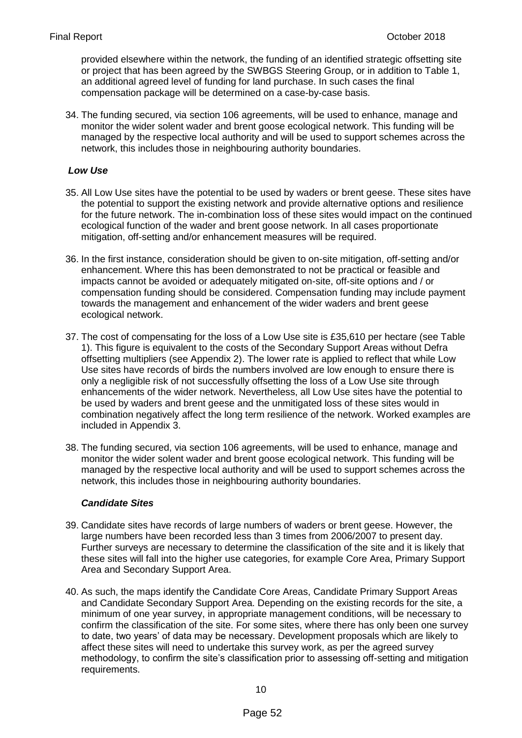provided elsewhere within the network, the funding of an identified strategic offsetting site or project that has been agreed by the SWBGS Steering Group, or in addition to Table 1, an additional agreed level of funding for land purchase. In such cases the final compensation package will be determined on a case-by-case basis.

34. The funding secured, via section 106 agreements, will be used to enhance, manage and monitor the wider solent wader and brent goose ecological network. This funding will be managed by the respective local authority and will be used to support schemes across the network, this includes those in neighbouring authority boundaries.

#### *Low Use*

- 35. All Low Use sites have the potential to be used by waders or brent geese. These sites have the potential to support the existing network and provide alternative options and resilience for the future network. The in-combination loss of these sites would impact on the continued ecological function of the wader and brent goose network. In all cases proportionate mitigation, off-setting and/or enhancement measures will be required.
- 36. In the first instance, consideration should be given to on-site mitigation, off-setting and/or enhancement. Where this has been demonstrated to not be practical or feasible and impacts cannot be avoided or adequately mitigated on-site, off-site options and / or compensation funding should be considered. Compensation funding may include payment towards the management and enhancement of the wider waders and brent geese ecological network.
- 37. The cost of compensating for the loss of a Low Use site is £35,610 per hectare (see Table 1). This figure is equivalent to the costs of the Secondary Support Areas without Defra offsetting multipliers (see Appendix 2). The lower rate is applied to reflect that while Low Use sites have records of birds the numbers involved are low enough to ensure there is only a negligible risk of not successfully offsetting the loss of a Low Use site through enhancements of the wider network. Nevertheless, all Low Use sites have the potential to be used by waders and brent geese and the unmitigated loss of these sites would in combination negatively affect the long term resilience of the network. Worked examples are included in Appendix 3.
- 38. The funding secured, via section 106 agreements, will be used to enhance, manage and monitor the wider solent wader and brent goose ecological network. This funding will be managed by the respective local authority and will be used to support schemes across the network, this includes those in neighbouring authority boundaries.

#### *Candidate Sites*

- 39. Candidate sites have records of large numbers of waders or brent geese. However, the large numbers have been recorded less than 3 times from 2006/2007 to present day. Further surveys are necessary to determine the classification of the site and it is likely that these sites will fall into the higher use categories, for example Core Area, Primary Support Area and Secondary Support Area.
- 40. As such, the maps identify the Candidate Core Areas, Candidate Primary Support Areas and Candidate Secondary Support Area. Depending on the existing records for the site, a minimum of one year survey, in appropriate management conditions, will be necessary to confirm the classification of the site. For some sites, where there has only been one survey to date, two years' of data may be necessary. Development proposals which are likely to affect these sites will need to undertake this survey work, as per the agreed survey methodology, to confirm the site's classification prior to assessing off-setting and mitigation requirements.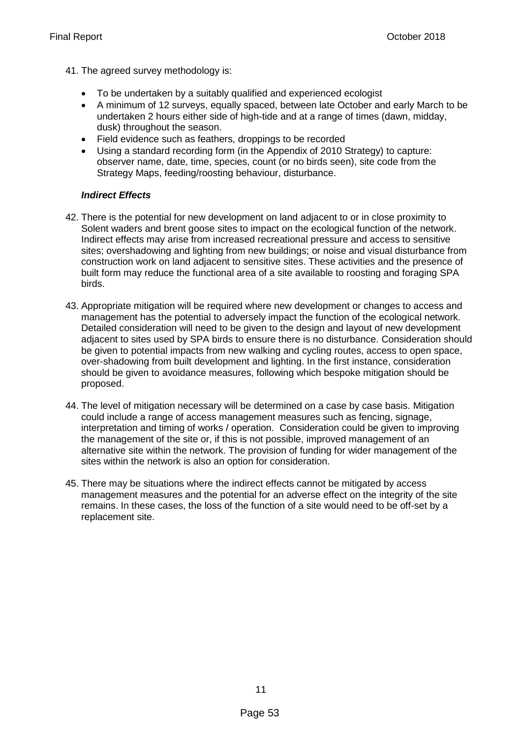- 41. The agreed survey methodology is:
	- To be undertaken by a suitably qualified and experienced ecologist
	- A minimum of 12 surveys, equally spaced, between late October and early March to be undertaken 2 hours either side of high-tide and at a range of times (dawn, midday, dusk) throughout the season.
	- Field evidence such as feathers, droppings to be recorded
	- Using a standard recording form (in the Appendix of 2010 Strategy) to capture: observer name, date, time, species, count (or no birds seen), site code from the Strategy Maps, feeding/roosting behaviour, disturbance.

#### *Indirect Effects*

- 42. There is the potential for new development on land adjacent to or in close proximity to Solent waders and brent goose sites to impact on the ecological function of the network. Indirect effects may arise from increased recreational pressure and access to sensitive sites; overshadowing and lighting from new buildings; or noise and visual disturbance from construction work on land adjacent to sensitive sites. These activities and the presence of built form may reduce the functional area of a site available to roosting and foraging SPA birds.
- 43. Appropriate mitigation will be required where new development or changes to access and management has the potential to adversely impact the function of the ecological network. Detailed consideration will need to be given to the design and layout of new development adjacent to sites used by SPA birds to ensure there is no disturbance. Consideration should be given to potential impacts from new walking and cycling routes, access to open space, over-shadowing from built development and lighting. In the first instance, consideration should be given to avoidance measures, following which bespoke mitigation should be proposed.
- 44. The level of mitigation necessary will be determined on a case by case basis. Mitigation could include a range of access management measures such as fencing, signage, interpretation and timing of works / operation. Consideration could be given to improving the management of the site or, if this is not possible, improved management of an alternative site within the network. The provision of funding for wider management of the sites within the network is also an option for consideration.
- 45. There may be situations where the indirect effects cannot be mitigated by access management measures and the potential for an adverse effect on the integrity of the site remains. In these cases, the loss of the function of a site would need to be off-set by a replacement site.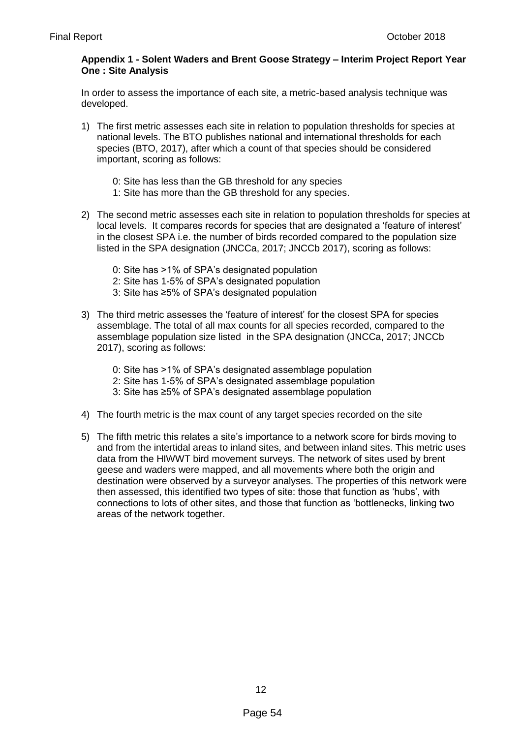#### **Appendix 1 - Solent Waders and Brent Goose Strategy – Interim Project Report Year One : Site Analysis**

In order to assess the importance of each site, a metric-based analysis technique was developed.

- 1) The first metric assesses each site in relation to population thresholds for species at national levels. The BTO publishes national and international thresholds for each species (BTO, 2017), after which a count of that species should be considered important, scoring as follows:
	- 0: Site has less than the GB threshold for any species
	- 1: Site has more than the GB threshold for any species.
- 2) The second metric assesses each site in relation to population thresholds for species at local levels. It compares records for species that are designated a 'feature of interest' in the closest SPA i.e. the number of birds recorded compared to the population size listed in the SPA designation (JNCCa, 2017; JNCCb 2017), scoring as follows:
	- 0: Site has >1% of SPA's designated population
	- 2: Site has 1-5% of SPA's designated population
	- 3: Site has ≥5% of SPA's designated population
- 3) The third metric assesses the 'feature of interest' for the closest SPA for species assemblage. The total of all max counts for all species recorded, compared to the assemblage population size listed in the SPA designation (JNCCa, 2017; JNCCb 2017), scoring as follows:
	- 0: Site has >1% of SPA's designated assemblage population
	- 2: Site has 1-5% of SPA's designated assemblage population
	- 3: Site has ≥5% of SPA's designated assemblage population
- 4) The fourth metric is the max count of any target species recorded on the site
- 5) The fifth metric this relates a site's importance to a network score for birds moving to and from the intertidal areas to inland sites, and between inland sites. This metric uses data from the HIWWT bird movement surveys. The network of sites used by brent geese and waders were mapped, and all movements where both the origin and destination were observed by a surveyor analyses. The properties of this network were then assessed, this identified two types of site: those that function as 'hubs', with connections to lots of other sites, and those that function as 'bottlenecks, linking two areas of the network together.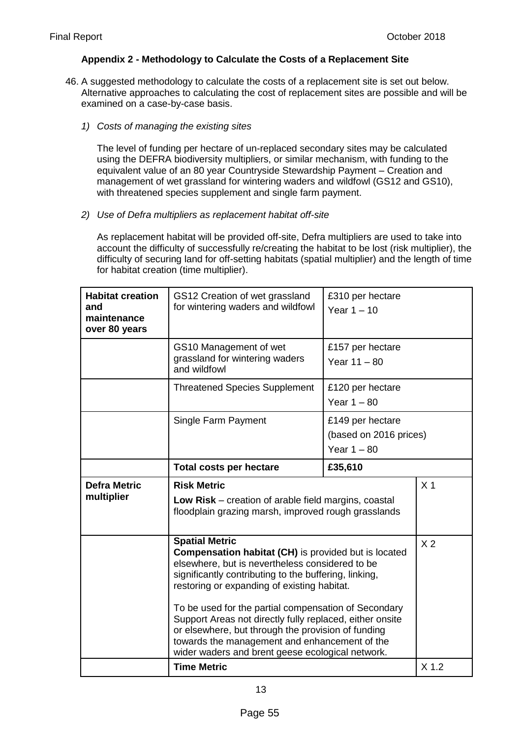#### **Appendix 2 - Methodology to Calculate the Costs of a Replacement Site**

- 46. A suggested methodology to calculate the costs of a replacement site is set out below. Alternative approaches to calculating the cost of replacement sites are possible and will be examined on a case-by-case basis.
	- *1) Costs of managing the existing sites*

The level of funding per hectare of un-replaced secondary sites may be calculated using the DEFRA biodiversity multipliers, or similar mechanism, with funding to the equivalent value of an 80 year Countryside Stewardship Payment – Creation and management of wet grassland for wintering waders and wildfowl (GS12 and GS10), with threatened species supplement and single farm payment.

*2) Use of Defra multipliers as replacement habitat off-site*

As replacement habitat will be provided off-site, Defra multipliers are used to take into account the difficulty of successfully re/creating the habitat to be lost (risk multiplier), the difficulty of securing land for off-setting habitats (spatial multiplier) and the length of time for habitat creation (time multiplier).

| <b>Habitat creation</b><br>and<br>maintenance<br>over 80 years | GS12 Creation of wet grassland<br>for wintering waders and wildfowl                                                                                                                                                                                                                                     | £310 per hectare<br>Year $1 - 10$                           |  |
|----------------------------------------------------------------|---------------------------------------------------------------------------------------------------------------------------------------------------------------------------------------------------------------------------------------------------------------------------------------------------------|-------------------------------------------------------------|--|
|                                                                | GS10 Management of wet<br>grassland for wintering waders<br>and wildfowl                                                                                                                                                                                                                                | £157 per hectare<br>Year $11 - 80$                          |  |
|                                                                | <b>Threatened Species Supplement</b>                                                                                                                                                                                                                                                                    | £120 per hectare<br>Year $1 - 80$                           |  |
|                                                                | Single Farm Payment                                                                                                                                                                                                                                                                                     | £149 per hectare<br>(based on 2016 prices)<br>Year $1 - 80$ |  |
|                                                                | <b>Total costs per hectare</b>                                                                                                                                                                                                                                                                          | £35,610                                                     |  |
| <b>Defra Metric</b><br>multiplier                              | <b>Risk Metric</b><br>Low Risk – creation of arable field margins, coastal<br>floodplain grazing marsh, improved rough grasslands                                                                                                                                                                       | X <sub>1</sub>                                              |  |
|                                                                | <b>Spatial Metric</b><br><b>Compensation habitat (CH)</b> is provided but is located<br>elsewhere, but is nevertheless considered to be<br>significantly contributing to the buffering, linking,<br>restoring or expanding of existing habitat.<br>To be used for the partial compensation of Secondary | X <sub>2</sub>                                              |  |
|                                                                | Support Areas not directly fully replaced, either onsite<br>or elsewhere, but through the provision of funding<br>towards the management and enhancement of the<br>wider waders and brent geese ecological network.                                                                                     |                                                             |  |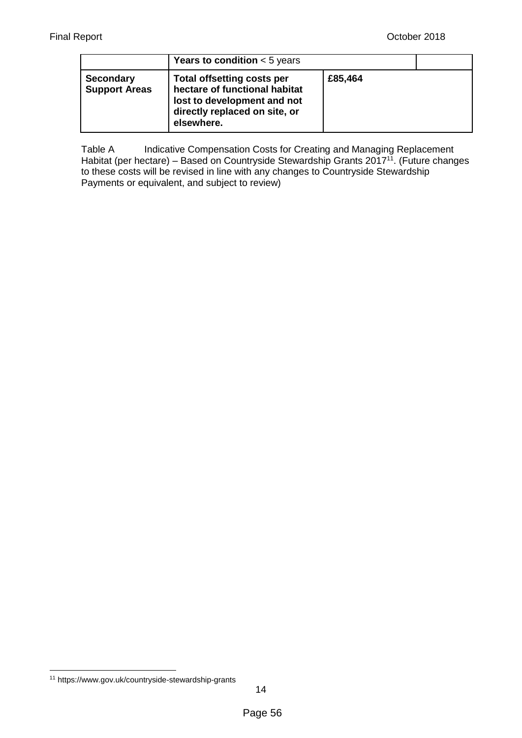|                                          | <b>Years to condition</b> $<$ 5 years                                                                                                            |         |  |
|------------------------------------------|--------------------------------------------------------------------------------------------------------------------------------------------------|---------|--|
| <b>Secondary</b><br><b>Support Areas</b> | <b>Total offsetting costs per</b><br>hectare of functional habitat<br>lost to development and not<br>directly replaced on site, or<br>elsewhere. | £85,464 |  |

Table A Indicative Compensation Costs for Creating and Managing Replacement Habitat (per hectare) – Based on Countryside Stewardship Grants  $2017<sup>11</sup>$ . (Future changes to these costs will be revised in line with any changes to Countryside Stewardship Payments or equivalent, and subject to review)

**<sup>.</sup>** <sup>11</sup> <https://www.gov.uk/countryside-stewardship-grants>